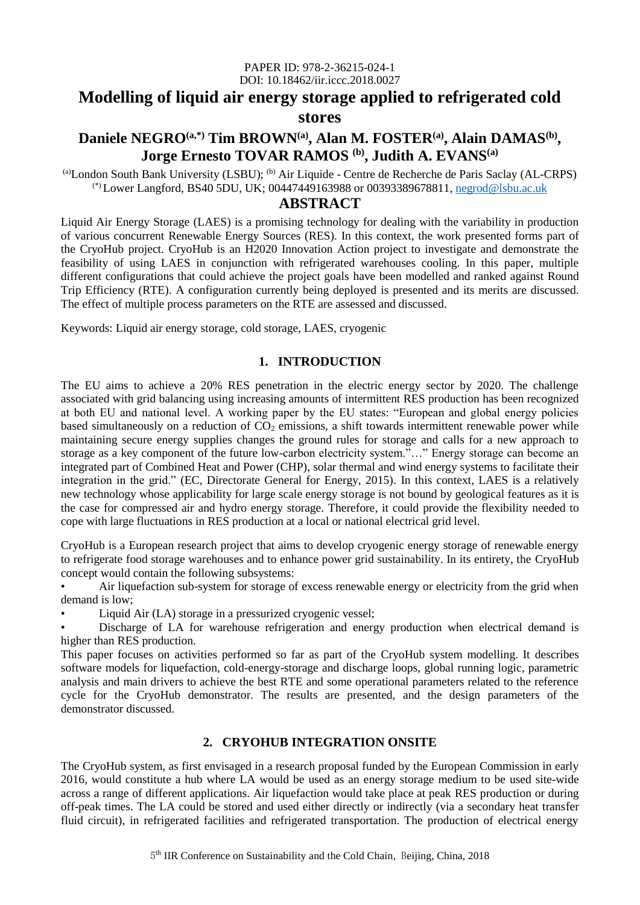#### PAPER ID: 978-2-36215-024-1 DOI: 10.18462/iir.iccc.2018.0027

# **Modelling of liquid air energy storage applied to refrigerated cold stores**

# **Daniele NEGRO(a,\*) Tim BROWN(a), Alan M. FOSTER(a) , Alain DAMAS(b) , Jorge Ernesto TOVAR RAMOS (b) , Judith A. EVANS(a)**

 $^{(a)}$ London South Bank University (LSBU);  $^{(b)}$  Air Liquide - Centre de Recherche de Paris Saclay (AL-CRPS) (\*) Lower Langford, BS40 5DU, UK; 00447449163988 or 00393389678811, [negrod@lsbu.ac.uk](mailto:negrod@lsbu.ac.uk)

# **ABSTRACT**

Liquid Air Energy Storage (LAES) is a promising technology for dealing with the variability in production of various concurrent Renewable Energy Sources (RES). In this context, the work presented forms part of the CryoHub project. CryoHub is an H2020 Innovation Action project to investigate and demonstrate the feasibility of using LAES in conjunction with refrigerated warehouses cooling. In this paper, multiple different configurations that could achieve the project goals have been modelled and ranked against Round Trip Efficiency (RTE). A configuration currently being deployed is presented and its merits are discussed. The effect of multiple process parameters on the RTE are assessed and discussed.

Keywords: Liquid air energy storage, cold storage, LAES, cryogenic

## **1. INTRODUCTION**

The EU aims to achieve a 20% RES penetration in the electric energy sector by 2020. The challenge associated with grid balancing using increasing amounts of intermittent RES production has been recognized at both EU and national level. A working paper by the EU states: "European and global energy policies based simultaneously on a reduction of  $CO<sub>2</sub>$  emissions, a shift towards intermittent renewable power while maintaining secure energy supplies changes the ground rules for storage and calls for a new approach to storage as a key component of the future low-carbon electricity system."…" Energy storage can become an integrated part of Combined Heat and Power (CHP), solar thermal and wind energy systems to facilitate their integration in the grid." (EC, Directorate General for Energy, 2015). In this context, LAES is a relatively new technology whose applicability for large scale energy storage is not bound by geological features as it is the case for compressed air and hydro energy storage. Therefore, it could provide the flexibility needed to cope with large fluctuations in RES production at a local or national electrical grid level.

CryoHub is a European research project that aims to develop cryogenic energy storage of renewable energy to refrigerate food storage warehouses and to enhance power grid sustainability. In its entirety, the CryoHub concept would contain the following subsystems:

Air liquefaction sub-system for storage of excess renewable energy or electricity from the grid when demand is low;

• Liquid Air (LA) storage in a pressurized cryogenic vessel;

Discharge of LA for warehouse refrigeration and energy production when electrical demand is higher than RES production.

This paper focuses on activities performed so far as part of the CryoHub system modelling. It describes software models for liquefaction, cold-energy-storage and discharge loops, global running logic, parametric analysis and main drivers to achieve the best RTE and some operational parameters related to the reference cycle for the CryoHub demonstrator. The results are presented, and the design parameters of the demonstrator discussed.

# **2. CRYOHUB INTEGRATION ONSITE**

The CryoHub system, as first envisaged in a research proposal funded by the European Commission in early 2016, would constitute a hub where LA would be used as an energy storage medium to be used site-wide across a range of different applications. Air liquefaction would take place at peak RES production or during off-peak times. The LA could be stored and used either directly or indirectly (via a secondary heat transfer fluid circuit), in refrigerated facilities and refrigerated transportation. The production of electrical energy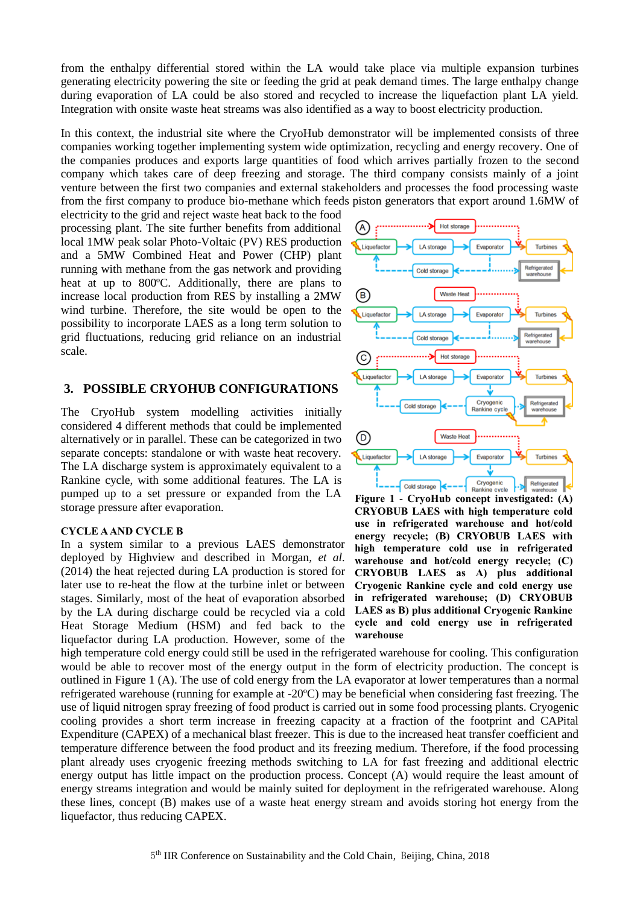from the enthalpy differential stored within the LA would take place via multiple expansion turbines generating electricity powering the site or feeding the grid at peak demand times. The large enthalpy change during evaporation of LA could be also stored and recycled to increase the liquefaction plant LA yield. Integration with onsite waste heat streams was also identified as a way to boost electricity production.

In this context, the industrial site where the CryoHub demonstrator will be implemented consists of three companies working together implementing system wide optimization, recycling and energy recovery. One of the companies produces and exports large quantities of food which arrives partially frozen to the second company which takes care of deep freezing and storage. The third company consists mainly of a joint venture between the first two companies and external stakeholders and processes the food processing waste from the first company to produce bio-methane which feeds piston generators that export around 1.6MW of

electricity to the grid and reject waste heat back to the food processing plant. The site further benefits from additional local 1MW peak solar Photo-Voltaic (PV) RES production and a 5MW Combined Heat and Power (CHP) plant running with methane from the gas network and providing heat at up to 800ºC. Additionally, there are plans to increase local production from RES by installing a 2MW wind turbine. Therefore, the site would be open to the possibility to incorporate LAES as a long term solution to grid fluctuations, reducing grid reliance on an industrial scale.

#### **3. POSSIBLE CRYOHUB CONFIGURATIONS**

The CryoHub system modelling activities initially considered 4 different methods that could be implemented alternatively or in parallel. These can be categorized in two separate concepts: standalone or with waste heat recovery. The LA discharge system is approximately equivalent to a Rankine cycle, with some additional features. The LA is pumped up to a set pressure or expanded from the LA storage pressure after evaporation.

#### **CYCLE A AND CYCLE B**

In a system similar to a previous LAES demonstrator deployed by Highview and described in Morgan*, et al.* (2014) the heat rejected during LA production is stored for later use to re-heat the flow at the turbine inlet or between stages. Similarly, most of the heat of evaporation absorbed by the LA during discharge could be recycled via a cold Heat Storage Medium (HSM) and fed back to the liquefactor during LA production. However, some of the



<span id="page-1-0"></span>**Figure 1 - CryoHub concept investigated: (A) CRYOBUB LAES with high temperature cold use in refrigerated warehouse and hot/cold energy recycle; (B) CRYOBUB LAES with high temperature cold use in refrigerated warehouse and hot/cold energy recycle; (C) CRYOBUB LAES as A) plus additional Cryogenic Rankine cycle and cold energy use in refrigerated warehouse; (D) CRYOBUB LAES as B) plus additional Cryogenic Rankine cycle and cold energy use in refrigerated warehouse**

high temperature cold energy could still be used in the refrigerated warehouse for cooling. This configuration would be able to recover most of the energy output in the form of electricity production. The concept is outlined in [Figure 1](#page-1-0) (A). The use of cold energy from the LA evaporator at lower temperatures than a normal refrigerated warehouse (running for example at -20ºC) may be beneficial when considering fast freezing. The use of liquid nitrogen spray freezing of food product is carried out in some food processing plants. Cryogenic cooling provides a short term increase in freezing capacity at a fraction of the footprint and CAPital Expenditure (CAPEX) of a mechanical blast freezer. This is due to the increased heat transfer coefficient and temperature difference between the food product and its freezing medium. Therefore, if the food processing plant already uses cryogenic freezing methods switching to LA for fast freezing and additional electric energy output has little impact on the production process. Concept (A) would require the least amount of energy streams integration and would be mainly suited for deployment in the refrigerated warehouse. Along these lines, concept (B) makes use of a waste heat energy stream and avoids storing hot energy from the liquefactor, thus reducing CAPEX.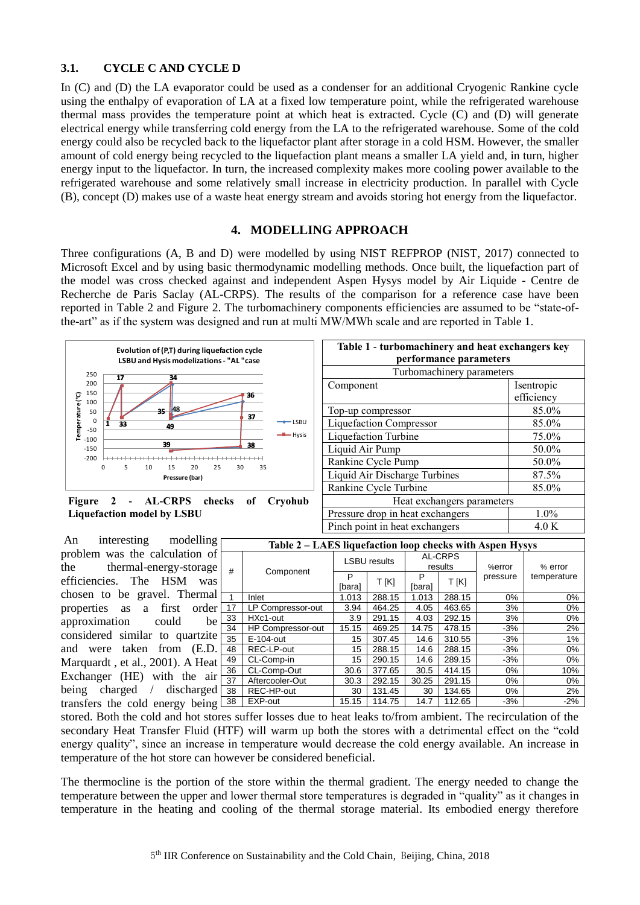# **3.1. CYCLE C AND CYCLE D**

In (C) and (D) the LA evaporator could be used as a condenser for an additional Cryogenic Rankine cycle using the enthalpy of evaporation of LA at a fixed low temperature point, while the refrigerated warehouse thermal mass provides the temperature point at which heat is extracted. Cycle (C) and (D) will generate electrical energy while transferring cold energy from the LA to the refrigerated warehouse. Some of the cold energy could also be recycled back to the liquefactor plant after storage in a cold HSM. However, the smaller amount of cold energy being recycled to the liquefaction plant means a smaller LA yield and, in turn, higher energy input to the liquefactor. In turn, the increased complexity makes more cooling power available to the refrigerated warehouse and some relatively small increase in electricity production. In parallel with Cycle (B), concept (D) makes use of a waste heat energy stream and avoids storing hot energy from the liquefactor.

### **4. MODELLING APPROACH**

Three configurations (A, B and D) were modelled by using NIST REFPROP (NIST, 2017) connected to Microsoft Excel and by using basic thermodynamic modelling methods. Once built, the liquefaction part of the model was cross checked against and independent Aspen Hysys model by Air Liquide - Centre de Recherche de Paris Saclay (AL-CRPS). The results of the comparison for a reference case have been reported in [Table 2](#page-2-0) and [Figure 2.](#page-2-1) The turbomachinery components efficiencies are assumed to be "state-ofthe-art" as if the system was designed and run at multi MW/MWh scale and are reported in [Table 1.](#page-2-2)



<span id="page-2-1"></span>**Figure 2 - AL-CRPS checks of Cryohub Liquefaction model by LSBU**

An interesting modelling problem was the calculation of the thermal-energy-storage efficiencies. The HSM was chosen to be gravel. Thermal properties as a first order approximation could be considered similar to quartzite and were taken from (E.D. Marquardt , et al., 2001). A Heat Exchanger (HE) with the air being charged / discharged transfers the cold energy being

<span id="page-2-2"></span>

| Table 1 - turbomachinery and heat exchangers key |            |  |  |  |  |  |  |  |
|--------------------------------------------------|------------|--|--|--|--|--|--|--|
| performance parameters                           |            |  |  |  |  |  |  |  |
| Turbomachinery parameters                        |            |  |  |  |  |  |  |  |
| Component                                        | Isentropic |  |  |  |  |  |  |  |
|                                                  | efficiency |  |  |  |  |  |  |  |
| Top-up compressor                                | 85.0%      |  |  |  |  |  |  |  |
| <b>Liquefaction Compressor</b>                   | 85.0%      |  |  |  |  |  |  |  |
| Liquefaction Turbine                             | 75.0%      |  |  |  |  |  |  |  |
| Liquid Air Pump                                  | 50.0%      |  |  |  |  |  |  |  |
| Rankine Cycle Pump                               | 50.0%      |  |  |  |  |  |  |  |
| Liquid Air Discharge Turbines                    | 87.5%      |  |  |  |  |  |  |  |
| Rankine Cycle Turbine                            | 85.0%      |  |  |  |  |  |  |  |
| Heat exchangers parameters                       |            |  |  |  |  |  |  |  |
| Pressure drop in heat exchangers                 | 1.0%       |  |  |  |  |  |  |  |
| Pinch point in heat exchangers                   | 4.0 K      |  |  |  |  |  |  |  |

<span id="page-2-0"></span>

| Table 2 – LAES liquefaction loop checks with Aspen Hysys |                   |                     |        |                           |        |          |             |  |  |
|----------------------------------------------------------|-------------------|---------------------|--------|---------------------------|--------|----------|-------------|--|--|
| #                                                        | Component         | <b>LSBU results</b> |        | <b>AL-CRPS</b><br>results |        | %error   | % error     |  |  |
|                                                          |                   | P<br>[bara]         | T [K]  | P<br>íbaral               | T [K]  | pressure | temperature |  |  |
| $\mathbf{1}$                                             | Inlet             | 1.013               | 288.15 | 1.013                     | 288.15 | 0%       | $0\%$       |  |  |
| 17                                                       | LP Compressor-out | 3.94                | 464.25 | 4.05                      | 463.65 | 3%       | 0%          |  |  |
| 33                                                       | HXc1-out          | 3.9                 | 291.15 | 4.03                      | 292.15 | 3%       | $0\%$       |  |  |
| 34                                                       | HP Compressor-out | 15.15               | 469.25 | 14.75                     | 478.15 | $-3%$    | 2%          |  |  |
| 35                                                       | E-104-out         | 15                  | 307.45 | 14.6                      | 310.55 | $-3%$    | 1%          |  |  |
| 48                                                       | REC-LP-out        | 15                  | 288.15 | 14.6                      | 288.15 | $-3%$    | $0\%$       |  |  |
| 49                                                       | CL-Comp-in        | 15                  | 290.15 | 14.6                      | 289.15 | $-3%$    | $0\%$       |  |  |
| 36                                                       | CL-Comp-Out       | 30.6                | 377.65 | 30.5                      | 414.15 | 0%       | 10%         |  |  |
| 37                                                       | Aftercooler-Out   | 30.3                | 292.15 | 30.25                     | 291.15 | 0%       | $0\%$       |  |  |
| 38                                                       | REC-HP-out        | 30                  | 131.45 | 30                        | 134.65 | $0\%$    | 2%          |  |  |
| 38                                                       | EXP-out           | 15.15               | 114.75 | 14.7                      | 112.65 | $-3%$    | $-2%$       |  |  |

stored. Both the cold and hot stores suffer losses due to heat leaks to/from ambient. The recirculation of the secondary Heat Transfer Fluid (HTF) will warm up both the stores with a detrimental effect on the "cold energy quality", since an increase in temperature would decrease the cold energy available. An increase in temperature of the hot store can however be considered beneficial.

The thermocline is the portion of the store within the thermal gradient. The energy needed to change the temperature between the upper and lower thermal store temperatures is degraded in "quality" as it changes in temperature in the heating and cooling of the thermal storage material. Its embodied energy therefore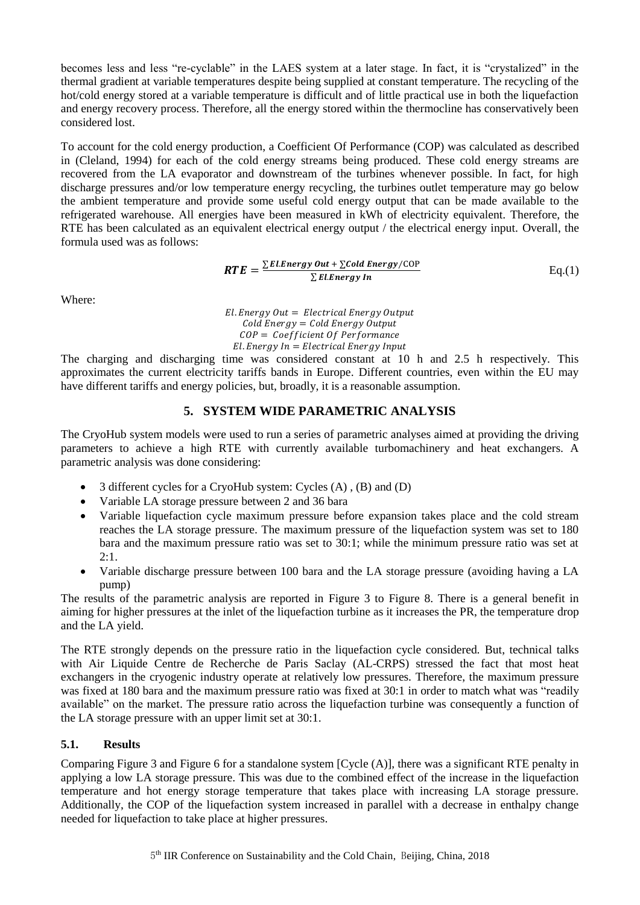becomes less and less "re-cyclable" in the LAES system at a later stage. In fact, it is "crystalized" in the thermal gradient at variable temperatures despite being supplied at constant temperature. The recycling of the hot/cold energy stored at a variable temperature is difficult and of little practical use in both the liquefaction and energy recovery process. Therefore, all the energy stored within the thermocline has conservatively been considered lost.

To account for the cold energy production, a Coefficient Of Performance (COP) was calculated as described in (Cleland, 1994) for each of the cold energy streams being produced. These cold energy streams are recovered from the LA evaporator and downstream of the turbines whenever possible. In fact, for high discharge pressures and/or low temperature energy recycling, the turbines outlet temperature may go below the ambient temperature and provide some useful cold energy output that can be made available to the refrigerated warehouse. All energies have been measured in kWh of electricity equivalent. Therefore, the RTE has been calculated as an equivalent electrical energy output / the electrical energy input. Overall, the formula used was as follows:

$$
RTE = \frac{\sum ELEnergy Out + \sum ColdEnergy / COP}{\sum ELEnergy In}
$$
 Eq.(1)

Where:

 $El. Energy Out = Electrical Energy Output$  $\text{Gold Energy} = \text{Gold Energy Output}$  $COP = Coefficient Of Performance$  $El. Energy In = Electrical Energy Input$ 

The charging and discharging time was considered constant at 10 h and 2.5 h respectively. This approximates the current electricity tariffs bands in Europe. Different countries, even within the EU may have different tariffs and energy policies, but, broadly, it is a reasonable assumption.

# **5. SYSTEM WIDE PARAMETRIC ANALYSIS**

The CryoHub system models were used to run a series of parametric analyses aimed at providing the driving parameters to achieve a high RTE with currently available turbomachinery and heat exchangers. A parametric analysis was done considering:

- 3 different cycles for a CryoHub system: Cycles (A) , (B) and (D)
- Variable LA storage pressure between 2 and 36 bara
- Variable liquefaction cycle maximum pressure before expansion takes place and the cold stream reaches the LA storage pressure. The maximum pressure of the liquefaction system was set to 180 bara and the maximum pressure ratio was set to 30:1; while the minimum pressure ratio was set at 2:1.
- Variable discharge pressure between 100 bara and the LA storage pressure (avoiding having a LA pump)

The results of the parametric analysis are reported in [Figure 3](#page-4-0) to [Figure 8.](#page-5-0) There is a general benefit in aiming for higher pressures at the inlet of the liquefaction turbine as it increases the PR, the temperature drop and the LA yield.

The RTE strongly depends on the pressure ratio in the liquefaction cycle considered. But, technical talks with Air Liquide Centre de Recherche de Paris Saclay (AL-CRPS) stressed the fact that most heat exchangers in the cryogenic industry operate at relatively low pressures. Therefore, the maximum pressure was fixed at 180 bara and the maximum pressure ratio was fixed at 30:1 in order to match what was "readily available" on the market. The pressure ratio across the liquefaction turbine was consequently a function of the LA storage pressure with an upper limit set at 30:1.

## **5.1. Results**

Comparing [Figure 3](#page-4-0) and [Figure 6](#page-5-1) for a standalone system [Cycle (A)], there was a significant RTE penalty in applying a low LA storage pressure. This was due to the combined effect of the increase in the liquefaction temperature and hot energy storage temperature that takes place with increasing LA storage pressure. Additionally, the COP of the liquefaction system increased in parallel with a decrease in enthalpy change needed for liquefaction to take place at higher pressures.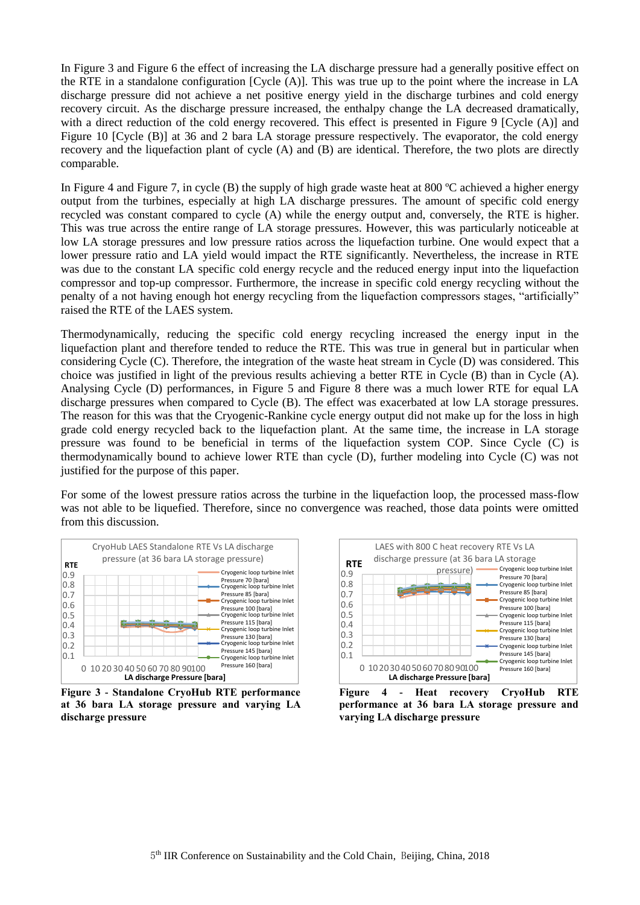In [Figure 3](#page-4-0) and [Figure 6](#page-5-1) the effect of increasing the LA discharge pressure had a generally positive effect on the RTE in a standalone configuration [Cycle (A)]. This was true up to the point where the increase in LA discharge pressure did not achieve a net positive energy yield in the discharge turbines and cold energy recovery circuit. As the discharge pressure increased, the enthalpy change the LA decreased dramatically, with a direct reduction of the cold energy recovered. This effect is presented in [Figure 9](#page-5-2) [Cycle (A)] and [Figure](#page-5-3) 10 [Cycle (B)] at 36 and 2 bara LA storage pressure respectively. The evaporator, the cold energy recovery and the liquefaction plant of cycle (A) and (B) are identical. Therefore, the two plots are directly comparable.

In [Figure 4](#page-4-1) and [Figure 7,](#page-5-4) in cycle (B) the supply of high grade waste heat at 800 ºC achieved a higher energy output from the turbines, especially at high LA discharge pressures. The amount of specific cold energy recycled was constant compared to cycle (A) while the energy output and, conversely, the RTE is higher. This was true across the entire range of LA storage pressures. However, this was particularly noticeable at low LA storage pressures and low pressure ratios across the liquefaction turbine. One would expect that a lower pressure ratio and LA yield would impact the RTE significantly. Nevertheless, the increase in RTE was due to the constant LA specific cold energy recycle and the reduced energy input into the liquefaction compressor and top-up compressor. Furthermore, the increase in specific cold energy recycling without the penalty of a not having enough hot energy recycling from the liquefaction compressors stages, "artificially" raised the RTE of the LAES system.

Thermodynamically, reducing the specific cold energy recycling increased the energy input in the liquefaction plant and therefore tended to reduce the RTE. This was true in general but in particular when considering Cycle (C). Therefore, the integration of the waste heat stream in Cycle (D) was considered. This choice was justified in light of the previous results achieving a better RTE in Cycle (B) than in Cycle (A). Analysing Cycle (D) performances, in [Figure 5](#page-5-5) and [Figure 8](#page-5-0) there was a much lower RTE for equal LA discharge pressures when compared to Cycle (B). The effect was exacerbated at low LA storage pressures. The reason for this was that the Cryogenic-Rankine cycle energy output did not make up for the loss in high grade cold energy recycled back to the liquefaction plant. At the same time, the increase in LA storage pressure was found to be beneficial in terms of the liquefaction system COP. Since Cycle (C) is thermodynamically bound to achieve lower RTE than cycle (D), further modeling into Cycle (C) was not justified for the purpose of this paper.

For some of the lowest pressure ratios across the turbine in the liquefaction loop, the processed mass-flow was not able to be liquefied. Therefore, since no convergence was reached, those data points were omitted from this discussion.



<span id="page-4-0"></span>**Figure 3 - Standalone CryoHub RTE performance at 36 bara LA storage pressure and varying LA discharge pressure**



<span id="page-4-1"></span>**Figure 4 - Heat recovery CryoHub RTE performance at 36 bara LA storage pressure and varying LA discharge pressure**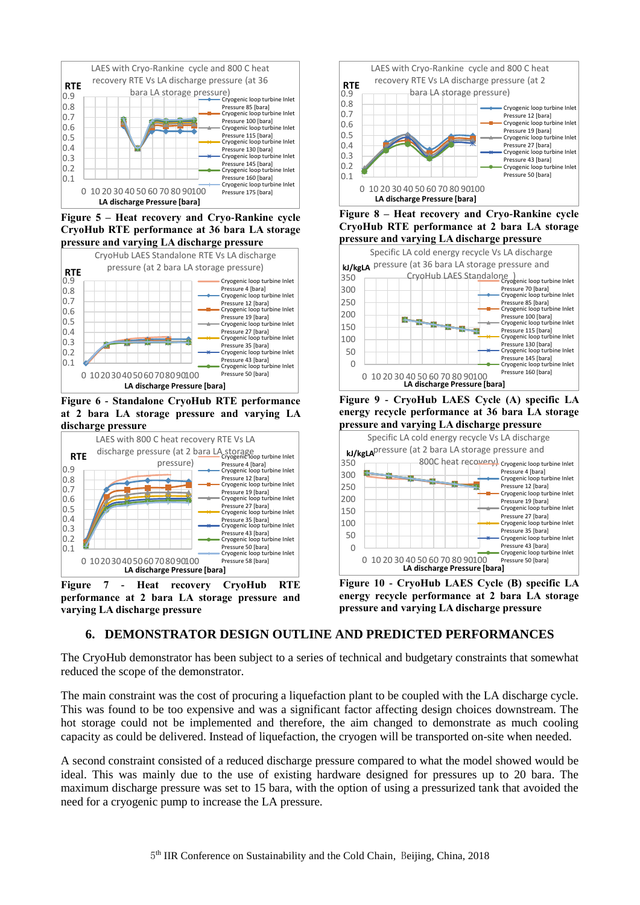

<span id="page-5-5"></span>**Figure 5 – Heat recovery and Cryo-Rankine cycle CryoHub RTE performance at 36 bara LA storage pressure and varying LA discharge pressure**



<span id="page-5-1"></span>**Figure 6 - Standalone CryoHub RTE performance at 2 bara LA storage pressure and varying LA discharge pressure**



<span id="page-5-4"></span>**Figure 7 - Heat recovery CryoHub RTE performance at 2 bara LA storage pressure and varying LA discharge pressure**



<span id="page-5-0"></span>**Figure 8 – Heat recovery and Cryo-Rankine cycle CryoHub RTE performance at 2 bara LA storage pressure and varying LA discharge pressure**



<span id="page-5-2"></span>**Figure 9 - CryoHub LAES Cycle (A) specific LA energy recycle performance at 36 bara LA storage pressure and varying LA discharge pressure**



<span id="page-5-3"></span>**Figure 10 - CryoHub LAES Cycle (B) specific LA energy recycle performance at 2 bara LA storage pressure and varying LA discharge pressure**

# **6. DEMONSTRATOR DESIGN OUTLINE AND PREDICTED PERFORMANCES**

The CryoHub demonstrator has been subject to a series of technical and budgetary constraints that somewhat reduced the scope of the demonstrator.

The main constraint was the cost of procuring a liquefaction plant to be coupled with the LA discharge cycle. This was found to be too expensive and was a significant factor affecting design choices downstream. The hot storage could not be implemented and therefore, the aim changed to demonstrate as much cooling capacity as could be delivered. Instead of liquefaction, the cryogen will be transported on-site when needed.

A second constraint consisted of a reduced discharge pressure compared to what the model showed would be ideal. This was mainly due to the use of existing hardware designed for pressures up to 20 bara. The maximum discharge pressure was set to 15 bara, with the option of using a pressurized tank that avoided the need for a cryogenic pump to increase the LA pressure.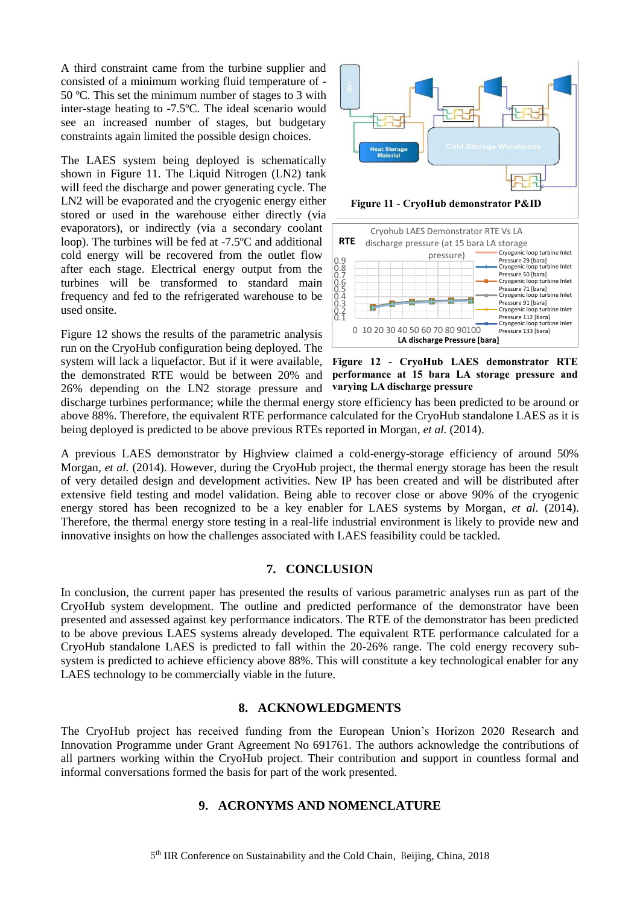A third constraint came from the turbine supplier and consisted of a minimum working fluid temperature of - 50 ºC. This set the minimum number of stages to 3 with inter-stage heating to -7.5ºC. The ideal scenario would see an increased number of stages, but budgetary constraints again limited the possible design choices.

The LAES system being deployed is schematically shown in [Figure 11.](#page-6-0) The Liquid Nitrogen (LN2) tank will feed the discharge and power generating cycle. The LN2 will be evaporated and the cryogenic energy either stored or used in the warehouse either directly (via evaporators), or indirectly (via a secondary coolant loop). The turbines will be fed at -7.5ºC and additional cold energy will be recovered from the outlet flow after each stage. Electrical energy output from the turbines will be transformed to standard main frequency and fed to the refrigerated warehouse to be used onsite.

[Figure 12](#page-6-1) shows the results of the parametric analysis run on the CryoHub configuration being deployed. The system will lack a liquefactor. But if it were available, the demonstrated RTE would be between 20% and 26% depending on the LN2 storage pressure and



<span id="page-6-0"></span>**Figure 11 - CryoHub demonstrator P&ID**



<span id="page-6-1"></span>**Figure 12 - CryoHub LAES demonstrator RTE performance at 15 bara LA storage pressure and varying LA discharge pressure**

discharge turbines performance; while the thermal energy store efficiency has been predicted to be around or above 88%. Therefore, the equivalent RTE performance calculated for the CryoHub standalone LAES as it is being deployed is predicted to be above previous RTEs reported in Morgan*, et al.* (2014).

A previous LAES demonstrator by Highview claimed a cold-energy-storage efficiency of around 50% Morgan*, et al.* (2014). However, during the CryoHub project, the thermal energy storage has been the result of very detailed design and development activities. New IP has been created and will be distributed after extensive field testing and model validation. Being able to recover close or above 90% of the cryogenic energy stored has been recognized to be a key enabler for LAES systems by Morgan*, et al.* (2014). Therefore, the thermal energy store testing in a real-life industrial environment is likely to provide new and innovative insights on how the challenges associated with LAES feasibility could be tackled.

#### **7. CONCLUSION**

In conclusion, the current paper has presented the results of various parametric analyses run as part of the CryoHub system development. The outline and predicted performance of the demonstrator have been presented and assessed against key performance indicators. The RTE of the demonstrator has been predicted to be above previous LAES systems already developed. The equivalent RTE performance calculated for a CryoHub standalone LAES is predicted to fall within the 20-26% range. The cold energy recovery subsystem is predicted to achieve efficiency above 88%. This will constitute a key technological enabler for any LAES technology to be commercially viable in the future.

#### **8. ACKNOWLEDGMENTS**

The CryoHub project has received funding from the European Union's Horizon 2020 Research and Innovation Programme under Grant Agreement No 691761. The authors acknowledge the contributions of all partners working within the CryoHub project. Their contribution and support in countless formal and informal conversations formed the basis for part of the work presented.

#### **9. ACRONYMS AND NOMENCLATURE**